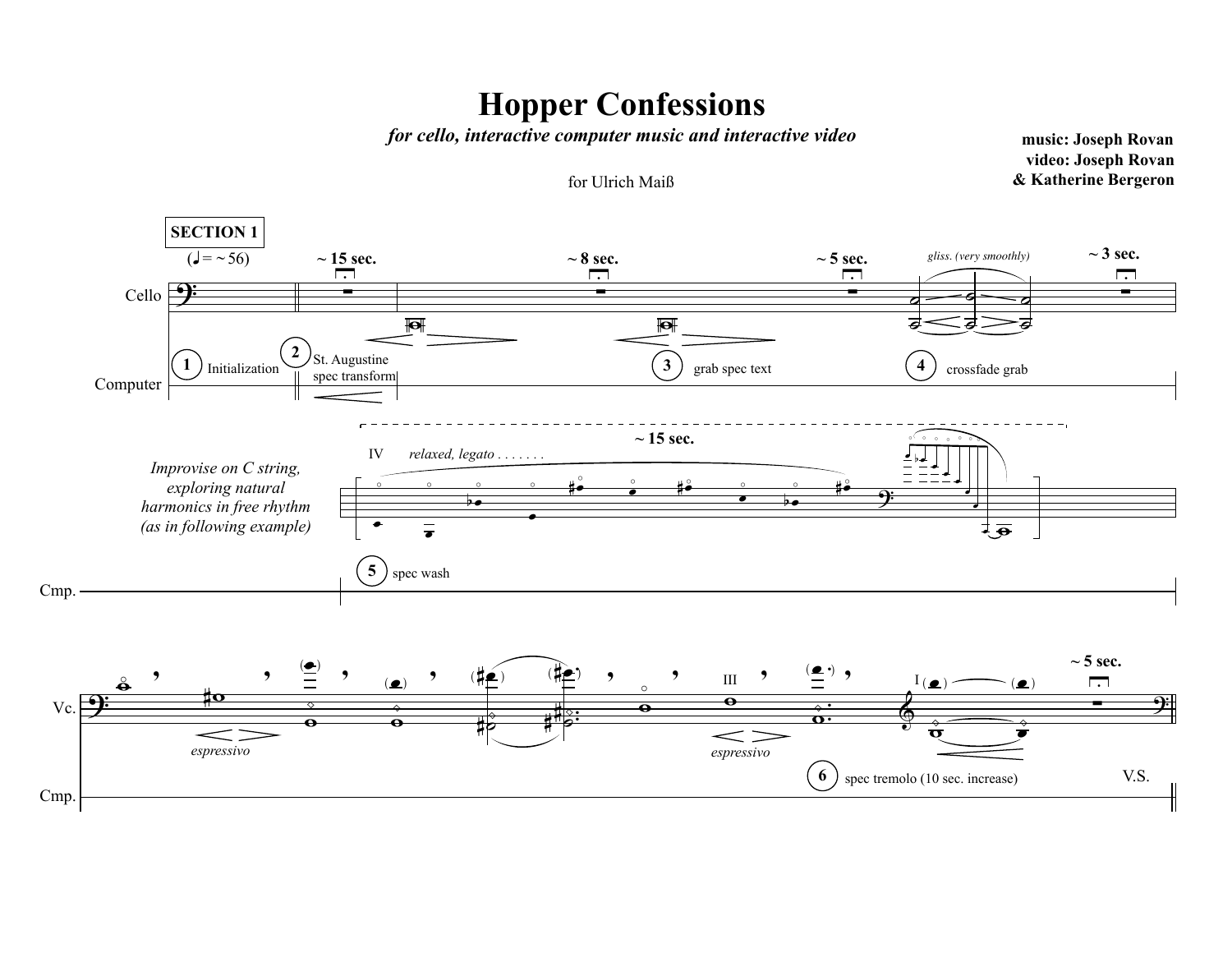## **Hopper Confessions**

*for cello, interactive computer music and interactive video* **music: Joseph Rovan** 

**video: Joseph Rovan** for Ulrich Maiß **& Katherine Bergeron**

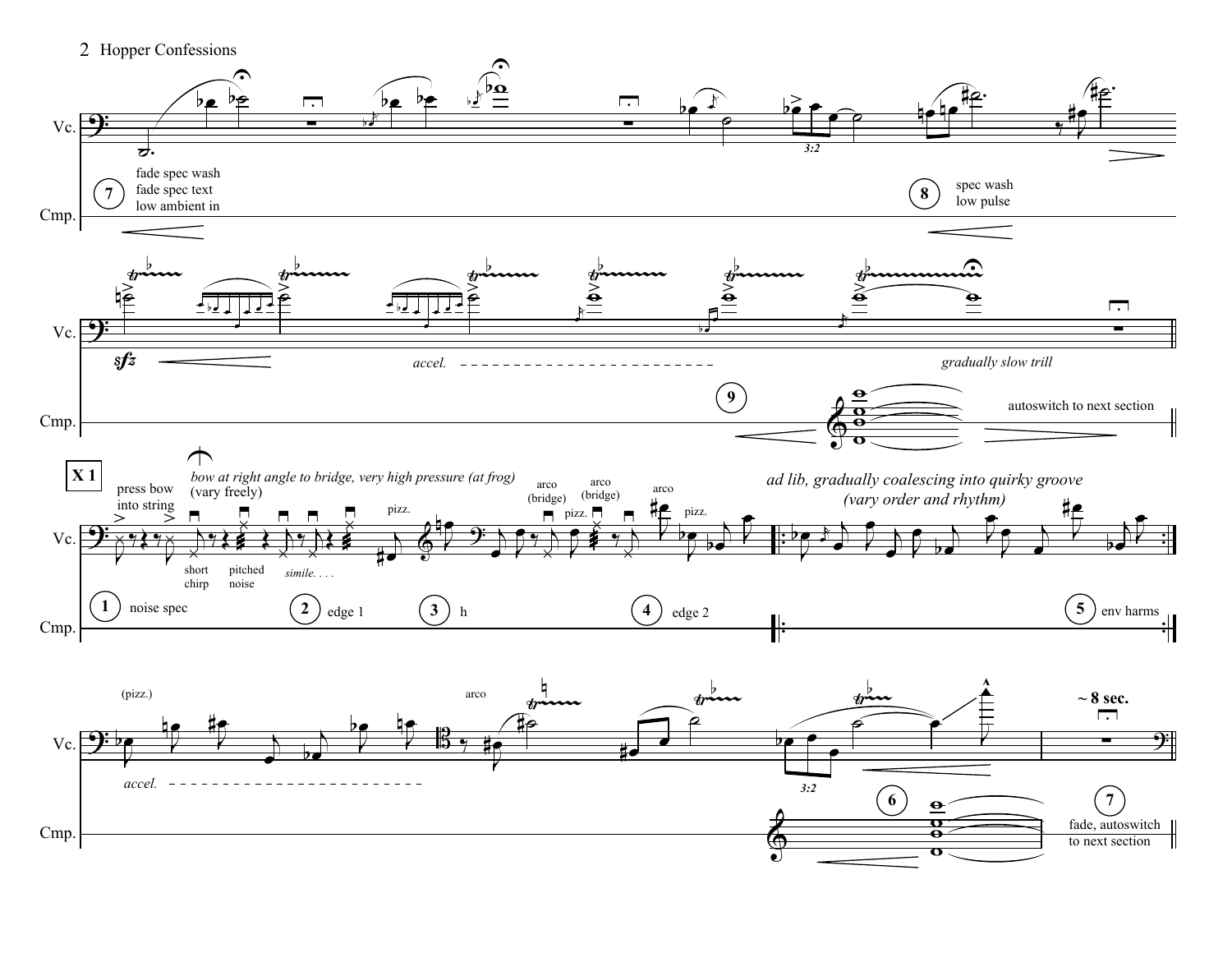2 Hopper Confessions

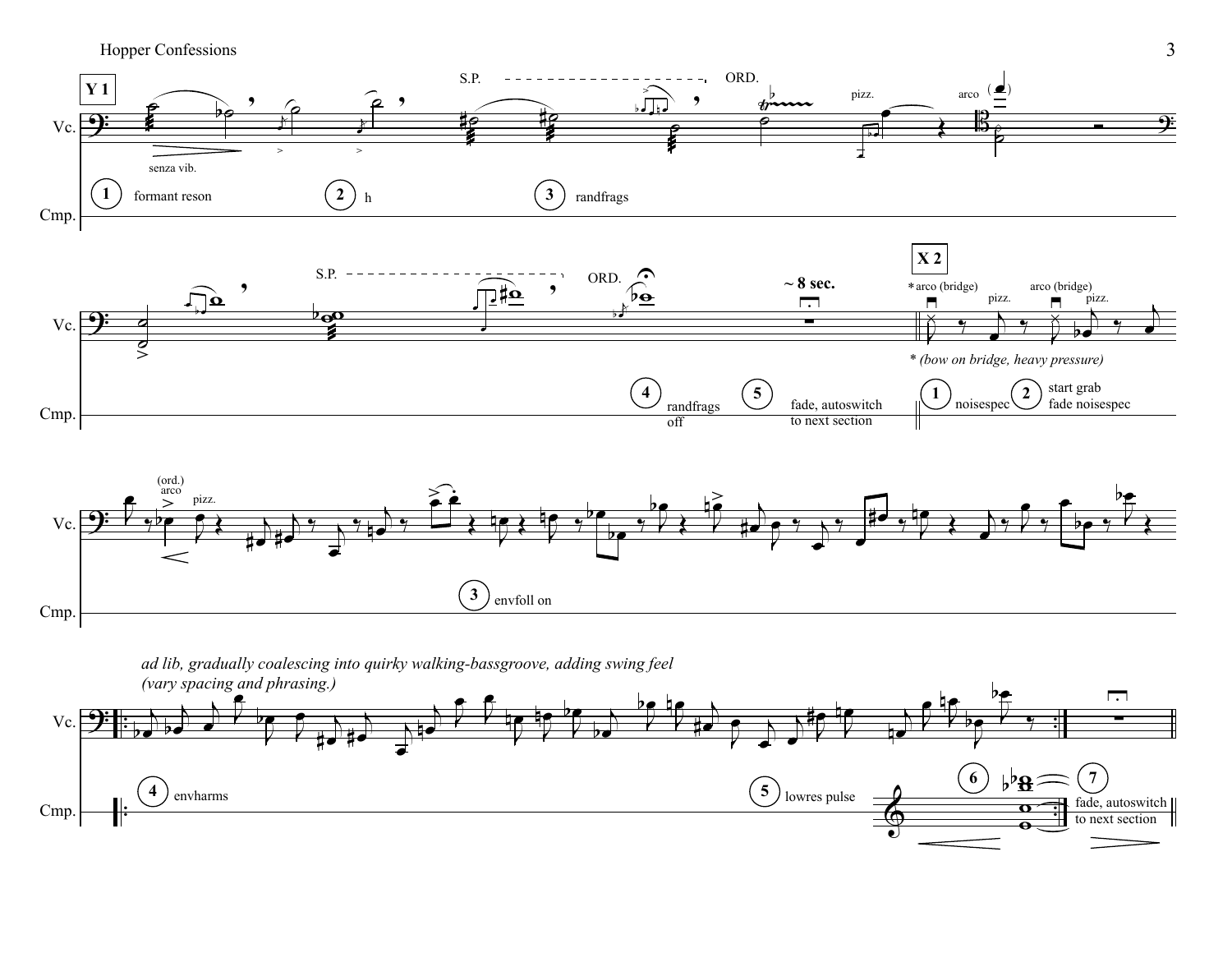Hopper Confessions 3





*ad lib, gradually coalescing into quirky walking-bassgroove, adding swing feel*

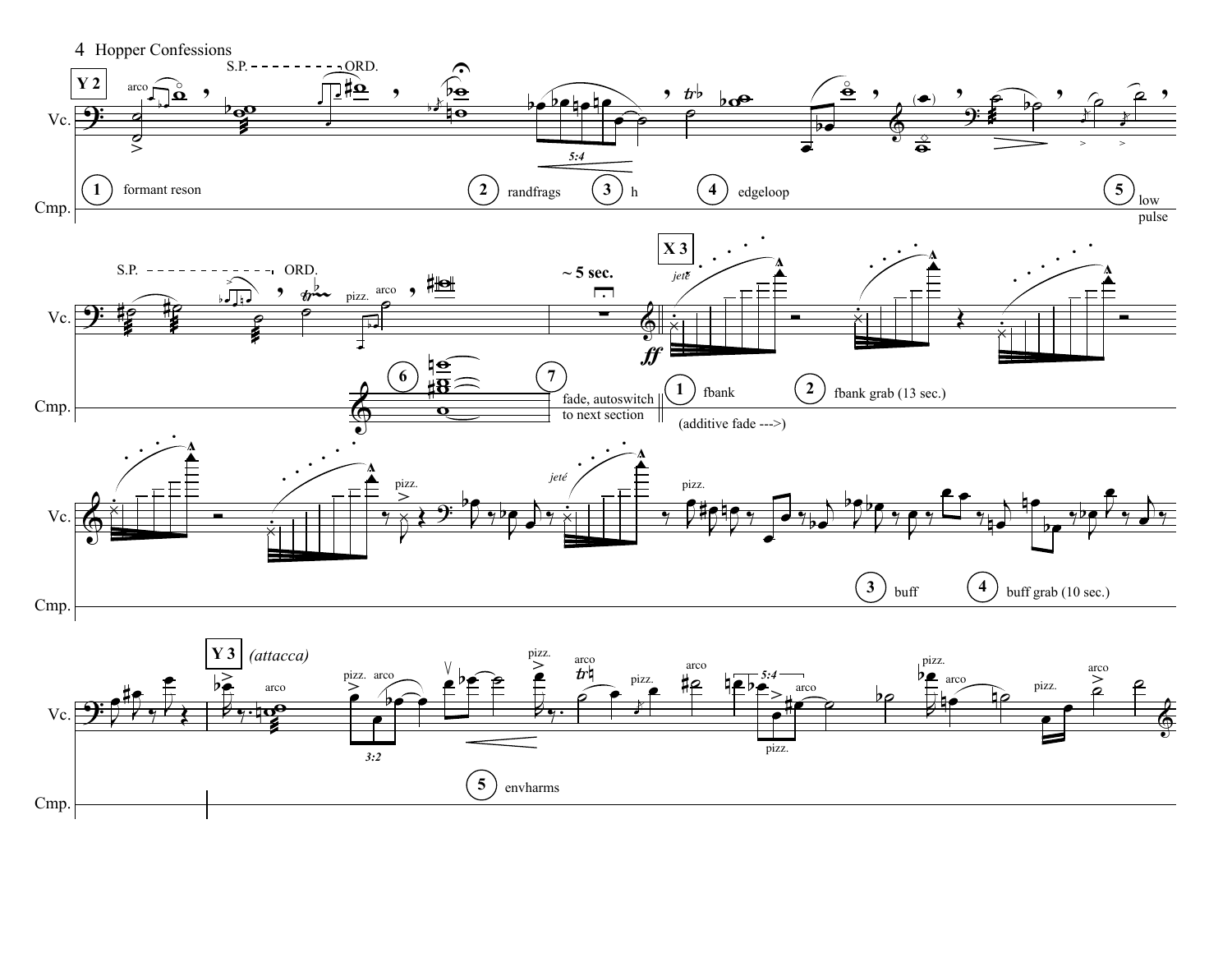